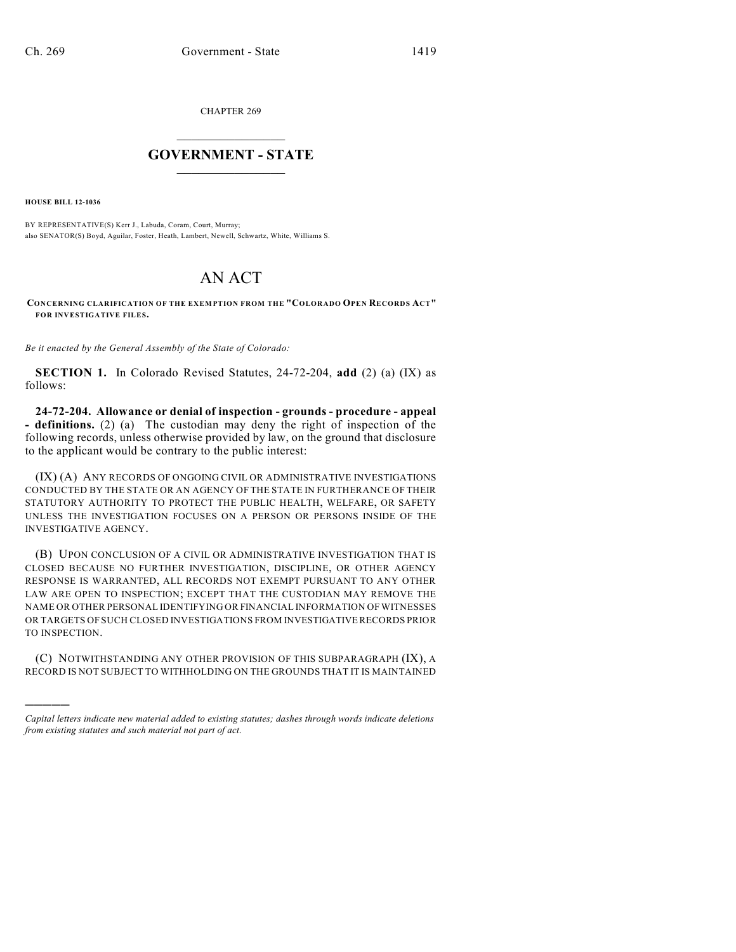CHAPTER 269

## $\mathcal{L}_\text{max}$  . The set of the set of the set of the set of the set of the set of the set of the set of the set of the set of the set of the set of the set of the set of the set of the set of the set of the set of the set **GOVERNMENT - STATE**  $\_$   $\_$   $\_$   $\_$   $\_$   $\_$   $\_$   $\_$   $\_$

**HOUSE BILL 12-1036**

)))))

BY REPRESENTATIVE(S) Kerr J., Labuda, Coram, Court, Murray; also SENATOR(S) Boyd, Aguilar, Foster, Heath, Lambert, Newell, Schwartz, White, Williams S.

## AN ACT

**CONCERNING CLARIFICATION OF THE EXEMPTION FROM THE "COLORADO OPEN RECORDS ACT" FOR INVESTIGATIVE FILES.**

*Be it enacted by the General Assembly of the State of Colorado:*

**SECTION 1.** In Colorado Revised Statutes, 24-72-204, **add** (2) (a) (IX) as follows:

**24-72-204. Allowance or denial of inspection - grounds - procedure - appeal - definitions.** (2) (a) The custodian may deny the right of inspection of the following records, unless otherwise provided by law, on the ground that disclosure to the applicant would be contrary to the public interest:

(IX) (A) ANY RECORDS OF ONGOING CIVIL OR ADMINISTRATIVE INVESTIGATIONS CONDUCTED BY THE STATE OR AN AGENCY OF THE STATE IN FURTHERANCE OF THEIR STATUTORY AUTHORITY TO PROTECT THE PUBLIC HEALTH, WELFARE, OR SAFETY UNLESS THE INVESTIGATION FOCUSES ON A PERSON OR PERSONS INSIDE OF THE INVESTIGATIVE AGENCY.

(B) UPON CONCLUSION OF A CIVIL OR ADMINISTRATIVE INVESTIGATION THAT IS CLOSED BECAUSE NO FURTHER INVESTIGATION, DISCIPLINE, OR OTHER AGENCY RESPONSE IS WARRANTED, ALL RECORDS NOT EXEMPT PURSUANT TO ANY OTHER LAW ARE OPEN TO INSPECTION; EXCEPT THAT THE CUSTODIAN MAY REMOVE THE NAME OR OTHER PERSONAL IDENTIFYING OR FINANCIAL INFORMATION OF WITNESSES OR TARGETS OF SUCH CLOSED INVESTIGATIONS FROM INVESTIGATIVERECORDS PRIOR TO INSPECTION.

(C) NOTWITHSTANDING ANY OTHER PROVISION OF THIS SUBPARAGRAPH (IX), A RECORD IS NOT SUBJECT TO WITHHOLDING ON THE GROUNDS THAT IT IS MAINTAINED

*Capital letters indicate new material added to existing statutes; dashes through words indicate deletions from existing statutes and such material not part of act.*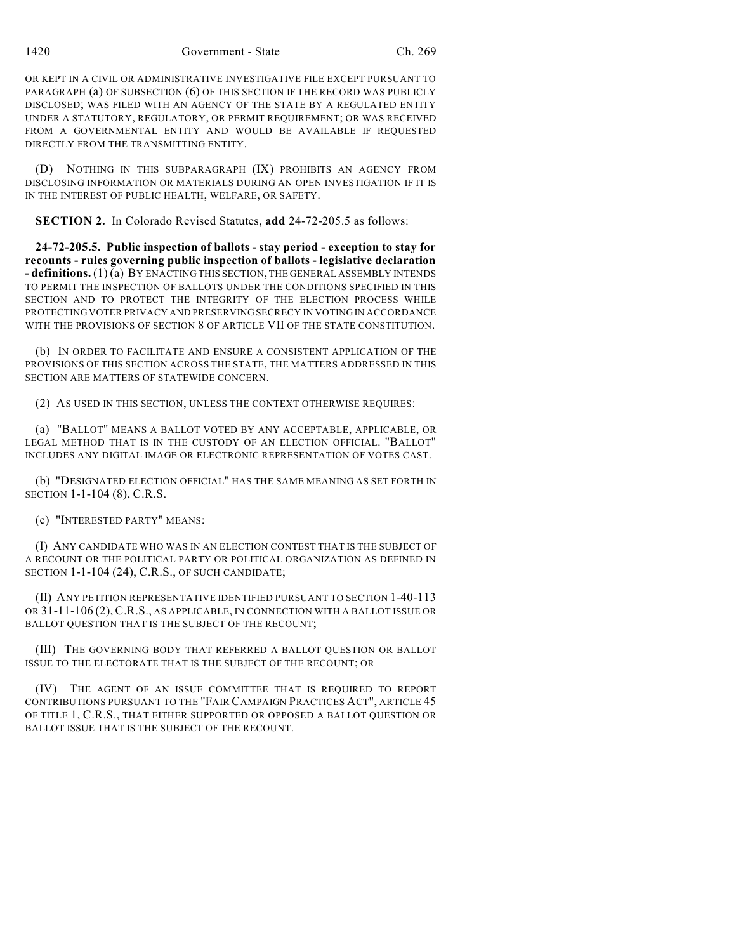OR KEPT IN A CIVIL OR ADMINISTRATIVE INVESTIGATIVE FILE EXCEPT PURSUANT TO PARAGRAPH (a) OF SUBSECTION (6) OF THIS SECTION IF THE RECORD WAS PUBLICLY DISCLOSED; WAS FILED WITH AN AGENCY OF THE STATE BY A REGULATED ENTITY UNDER A STATUTORY, REGULATORY, OR PERMIT REQUIREMENT; OR WAS RECEIVED FROM A GOVERNMENTAL ENTITY AND WOULD BE AVAILABLE IF REQUESTED DIRECTLY FROM THE TRANSMITTING ENTITY.

(D) NOTHING IN THIS SUBPARAGRAPH (IX) PROHIBITS AN AGENCY FROM DISCLOSING INFORMATION OR MATERIALS DURING AN OPEN INVESTIGATION IF IT IS IN THE INTEREST OF PUBLIC HEALTH, WELFARE, OR SAFETY.

**SECTION 2.** In Colorado Revised Statutes, **add** 24-72-205.5 as follows:

**24-72-205.5. Public inspection of ballots - stay period - exception to stay for recounts - rules governing public inspection of ballots - legislative declaration - definitions.** (1) (a) BY ENACTING THIS SECTION, THE GENERAL ASSEMBLY INTENDS TO PERMIT THE INSPECTION OF BALLOTS UNDER THE CONDITIONS SPECIFIED IN THIS SECTION AND TO PROTECT THE INTEGRITY OF THE ELECTION PROCESS WHILE PROTECTING VOTER PRIVACY AND PRESERVING SECRECY IN VOTING IN ACCORDANCE WITH THE PROVISIONS OF SECTION 8 OF ARTICLE VII OF THE STATE CONSTITUTION.

(b) IN ORDER TO FACILITATE AND ENSURE A CONSISTENT APPLICATION OF THE PROVISIONS OF THIS SECTION ACROSS THE STATE, THE MATTERS ADDRESSED IN THIS SECTION ARE MATTERS OF STATEWIDE CONCERN.

(2) AS USED IN THIS SECTION, UNLESS THE CONTEXT OTHERWISE REQUIRES:

(a) "BALLOT" MEANS A BALLOT VOTED BY ANY ACCEPTABLE, APPLICABLE, OR LEGAL METHOD THAT IS IN THE CUSTODY OF AN ELECTION OFFICIAL. "BALLOT" INCLUDES ANY DIGITAL IMAGE OR ELECTRONIC REPRESENTATION OF VOTES CAST.

(b) "DESIGNATED ELECTION OFFICIAL" HAS THE SAME MEANING AS SET FORTH IN SECTION 1-1-104 (8), C.R.S.

(c) "INTERESTED PARTY" MEANS:

(I) ANY CANDIDATE WHO WAS IN AN ELECTION CONTEST THAT IS THE SUBJECT OF A RECOUNT OR THE POLITICAL PARTY OR POLITICAL ORGANIZATION AS DEFINED IN SECTION 1-1-104 (24), C.R.S., OF SUCH CANDIDATE;

(II) ANY PETITION REPRESENTATIVE IDENTIFIED PURSUANT TO SECTION 1-40-113 OR 31-11-106 (2), C.R.S., AS APPLICABLE, IN CONNECTION WITH A BALLOT ISSUE OR BALLOT QUESTION THAT IS THE SUBJECT OF THE RECOUNT;

(III) THE GOVERNING BODY THAT REFERRED A BALLOT QUESTION OR BALLOT ISSUE TO THE ELECTORATE THAT IS THE SUBJECT OF THE RECOUNT; OR

(IV) THE AGENT OF AN ISSUE COMMITTEE THAT IS REQUIRED TO REPORT CONTRIBUTIONS PURSUANT TO THE "FAIR CAMPAIGN PRACTICES ACT", ARTICLE 45 OF TITLE 1, C.R.S., THAT EITHER SUPPORTED OR OPPOSED A BALLOT QUESTION OR BALLOT ISSUE THAT IS THE SUBJECT OF THE RECOUNT.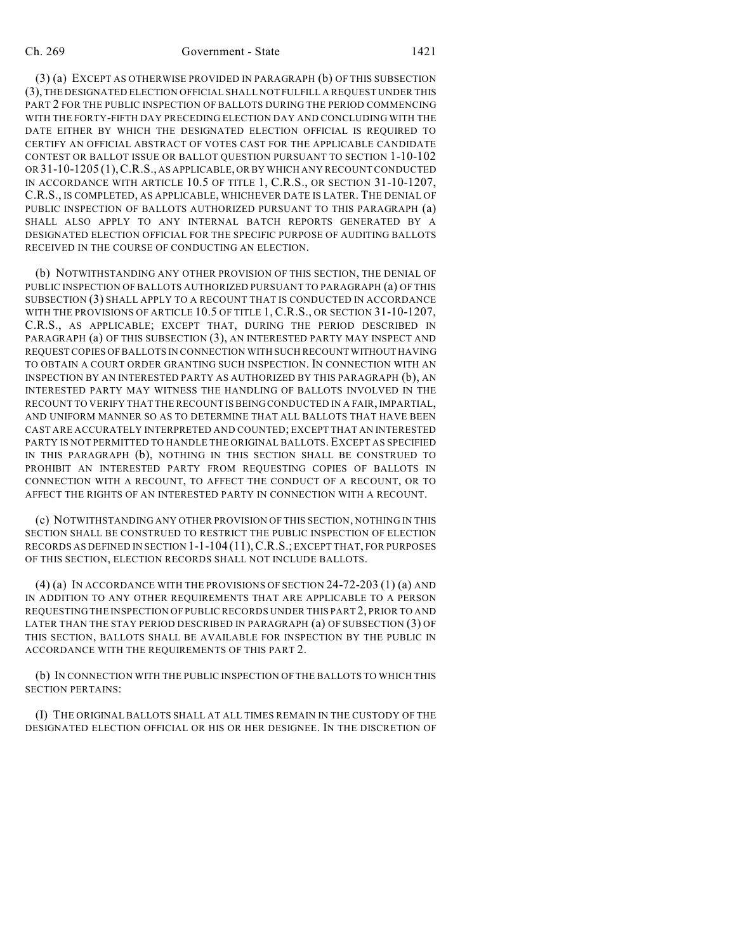## Ch. 269 Government - State 1421

(3) (a) EXCEPT AS OTHERWISE PROVIDED IN PARAGRAPH (b) OF THIS SUBSECTION (3), THE DESIGNATED ELECTION OFFICIAL SHALL NOT FULFILL A REQUEST UNDER THIS PART 2 FOR THE PUBLIC INSPECTION OF BALLOTS DURING THE PERIOD COMMENCING WITH THE FORTY-FIFTH DAY PRECEDING ELECTION DAY AND CONCLUDING WITH THE DATE EITHER BY WHICH THE DESIGNATED ELECTION OFFICIAL IS REQUIRED TO CERTIFY AN OFFICIAL ABSTRACT OF VOTES CAST FOR THE APPLICABLE CANDIDATE CONTEST OR BALLOT ISSUE OR BALLOT QUESTION PURSUANT TO SECTION 1-10-102 OR 31-10-1205 (1),C.R.S., AS APPLICABLE, OR BY WHICH ANY RECOUNT CONDUCTED IN ACCORDANCE WITH ARTICLE 10.5 OF TITLE 1, C.R.S., OR SECTION 31-10-1207, C.R.S., IS COMPLETED, AS APPLICABLE, WHICHEVER DATE IS LATER. THE DENIAL OF PUBLIC INSPECTION OF BALLOTS AUTHORIZED PURSUANT TO THIS PARAGRAPH (a) SHALL ALSO APPLY TO ANY INTERNAL BATCH REPORTS GENERATED BY A DESIGNATED ELECTION OFFICIAL FOR THE SPECIFIC PURPOSE OF AUDITING BALLOTS RECEIVED IN THE COURSE OF CONDUCTING AN ELECTION.

(b) NOTWITHSTANDING ANY OTHER PROVISION OF THIS SECTION, THE DENIAL OF PUBLIC INSPECTION OF BALLOTS AUTHORIZED PURSUANT TO PARAGRAPH (a) OF THIS SUBSECTION (3) SHALL APPLY TO A RECOUNT THAT IS CONDUCTED IN ACCORDANCE WITH THE PROVISIONS OF ARTICLE 10.5 OF TITLE 1, C.R.S., OR SECTION 31-10-1207, C.R.S., AS APPLICABLE; EXCEPT THAT, DURING THE PERIOD DESCRIBED IN PARAGRAPH (a) OF THIS SUBSECTION (3), AN INTERESTED PARTY MAY INSPECT AND REQUEST COPIES OF BALLOTS IN CONNECTION WITH SUCH RECOUNT WITHOUT HAVING TO OBTAIN A COURT ORDER GRANTING SUCH INSPECTION. IN CONNECTION WITH AN INSPECTION BY AN INTERESTED PARTY AS AUTHORIZED BY THIS PARAGRAPH (b), AN INTERESTED PARTY MAY WITNESS THE HANDLING OF BALLOTS INVOLVED IN THE RECOUNT TO VERIFY THAT THE RECOUNT IS BEING CONDUCTED IN A FAIR, IMPARTIAL, AND UNIFORM MANNER SO AS TO DETERMINE THAT ALL BALLOTS THAT HAVE BEEN CAST ARE ACCURATELY INTERPRETED AND COUNTED; EXCEPT THAT AN INTERESTED PARTY IS NOT PERMITTED TO HANDLE THE ORIGINAL BALLOTS. EXCEPT AS SPECIFIED IN THIS PARAGRAPH (b), NOTHING IN THIS SECTION SHALL BE CONSTRUED TO PROHIBIT AN INTERESTED PARTY FROM REQUESTING COPIES OF BALLOTS IN CONNECTION WITH A RECOUNT, TO AFFECT THE CONDUCT OF A RECOUNT, OR TO AFFECT THE RIGHTS OF AN INTERESTED PARTY IN CONNECTION WITH A RECOUNT.

(c) NOTWITHSTANDING ANY OTHER PROVISION OF THIS SECTION, NOTHING IN THIS SECTION SHALL BE CONSTRUED TO RESTRICT THE PUBLIC INSPECTION OF ELECTION RECORDS AS DEFINED IN SECTION 1-1-104 (11),C.R.S.; EXCEPT THAT, FOR PURPOSES OF THIS SECTION, ELECTION RECORDS SHALL NOT INCLUDE BALLOTS.

(4) (a) IN ACCORDANCE WITH THE PROVISIONS OF SECTION  $24-72-203(1)$  (a) AND IN ADDITION TO ANY OTHER REQUIREMENTS THAT ARE APPLICABLE TO A PERSON REQUESTING THE INSPECTION OF PUBLIC RECORDS UNDER THIS PART 2, PRIOR TO AND LATER THAN THE STAY PERIOD DESCRIBED IN PARAGRAPH (a) OF SUBSECTION (3) OF THIS SECTION, BALLOTS SHALL BE AVAILABLE FOR INSPECTION BY THE PUBLIC IN ACCORDANCE WITH THE REQUIREMENTS OF THIS PART 2.

(b) IN CONNECTION WITH THE PUBLIC INSPECTION OF THE BALLOTS TO WHICH THIS SECTION PERTAINS:

(I) THE ORIGINAL BALLOTS SHALL AT ALL TIMES REMAIN IN THE CUSTODY OF THE DESIGNATED ELECTION OFFICIAL OR HIS OR HER DESIGNEE. IN THE DISCRETION OF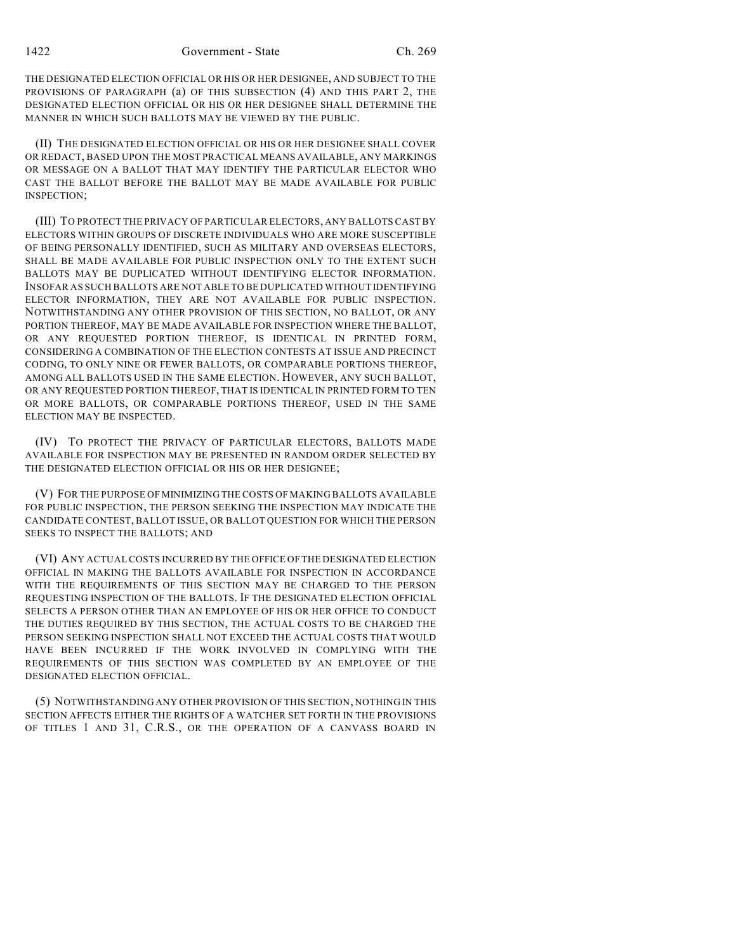THE DESIGNATED ELECTION OFFICIAL OR HIS OR HER DESIGNEE, AND SUBJECT TO THE PROVISIONS OF PARAGRAPH (a) OF THIS SUBSECTION (4) AND THIS PART 2, THE DESIGNATED ELECTION OFFICIAL OR HIS OR HER DESIGNEE SHALL DETERMINE THE MANNER IN WHICH SUCH BALLOTS MAY BE VIEWED BY THE PUBLIC.

(II) THE DESIGNATED ELECTION OFFICIAL OR HIS OR HER DESIGNEE SHALL COVER OR REDACT, BASED UPON THE MOST PRACTICAL MEANS AVAILABLE, ANY MARKINGS OR MESSAGE ON A BALLOT THAT MAY IDENTIFY THE PARTICULAR ELECTOR WHO CAST THE BALLOT BEFORE THE BALLOT MAY BE MADE AVAILABLE FOR PUBLIC INSPECTION;

(III) TO PROTECT THE PRIVACY OF PARTICULAR ELECTORS, ANY BALLOTS CAST BY ELECTORS WITHIN GROUPS OF DISCRETE INDIVIDUALS WHO ARE MORE SUSCEPTIBLE OF BEING PERSONALLY IDENTIFIED, SUCH AS MILITARY AND OVERSEAS ELECTORS, SHALL BE MADE AVAILABLE FOR PUBLIC INSPECTION ONLY TO THE EXTENT SUCH BALLOTS MAY BE DUPLICATED WITHOUT IDENTIFYING ELECTOR INFORMATION. INSOFAR AS SUCH BALLOTS ARE NOT ABLE TO BE DUPLICATED WITHOUT IDENTIFYING ELECTOR INFORMATION, THEY ARE NOT AVAILABLE FOR PUBLIC INSPECTION. NOTWITHSTANDING ANY OTHER PROVISION OF THIS SECTION, NO BALLOT, OR ANY PORTION THEREOF, MAY BE MADE AVAILABLE FOR INSPECTION WHERE THE BALLOT, OR ANY REQUESTED PORTION THEREOF, IS IDENTICAL IN PRINTED FORM, CONSIDERING A COMBINATION OF THE ELECTION CONTESTS AT ISSUE AND PRECINCT CODING, TO ONLY NINE OR FEWER BALLOTS, OR COMPARABLE PORTIONS THEREOF, AMONG ALL BALLOTS USED IN THE SAME ELECTION. HOWEVER, ANY SUCH BALLOT, OR ANY REQUESTED PORTION THEREOF, THAT IS IDENTICAL IN PRINTED FORM TO TEN OR MORE BALLOTS, OR COMPARABLE PORTIONS THEREOF, USED IN THE SAME ELECTION MAY BE INSPECTED.

(IV) TO PROTECT THE PRIVACY OF PARTICULAR ELECTORS, BALLOTS MADE AVAILABLE FOR INSPECTION MAY BE PRESENTED IN RANDOM ORDER SELECTED BY THE DESIGNATED ELECTION OFFICIAL OR HIS OR HER DESIGNEE;

(V) FOR THE PURPOSE OF MINIMIZING THE COSTS OF MAKING BALLOTS AVAILABLE FOR PUBLIC INSPECTION, THE PERSON SEEKING THE INSPECTION MAY INDICATE THE CANDIDATE CONTEST, BALLOT ISSUE, OR BALLOT QUESTION FOR WHICH THE PERSON SEEKS TO INSPECT THE BALLOTS; AND

(VI) ANY ACTUAL COSTS INCURRED BY THE OFFICE OF THE DESIGNATED ELECTION OFFICIAL IN MAKING THE BALLOTS AVAILABLE FOR INSPECTION IN ACCORDANCE WITH THE REQUIREMENTS OF THIS SECTION MAY BE CHARGED TO THE PERSON REQUESTING INSPECTION OF THE BALLOTS. IF THE DESIGNATED ELECTION OFFICIAL SELECTS A PERSON OTHER THAN AN EMPLOYEE OF HIS OR HER OFFICE TO CONDUCT THE DUTIES REQUIRED BY THIS SECTION, THE ACTUAL COSTS TO BE CHARGED THE PERSON SEEKING INSPECTION SHALL NOT EXCEED THE ACTUAL COSTS THAT WOULD HAVE BEEN INCURRED IF THE WORK INVOLVED IN COMPLYING WITH THE REQUIREMENTS OF THIS SECTION WAS COMPLETED BY AN EMPLOYEE OF THE DESIGNATED ELECTION OFFICIAL.

(5) NOTWITHSTANDING ANY OTHER PROVISION OF THIS SECTION, NOTHING IN THIS SECTION AFFECTS EITHER THE RIGHTS OF A WATCHER SET FORTH IN THE PROVISIONS OF TITLES 1 AND 31, C.R.S., OR THE OPERATION OF A CANVASS BOARD IN